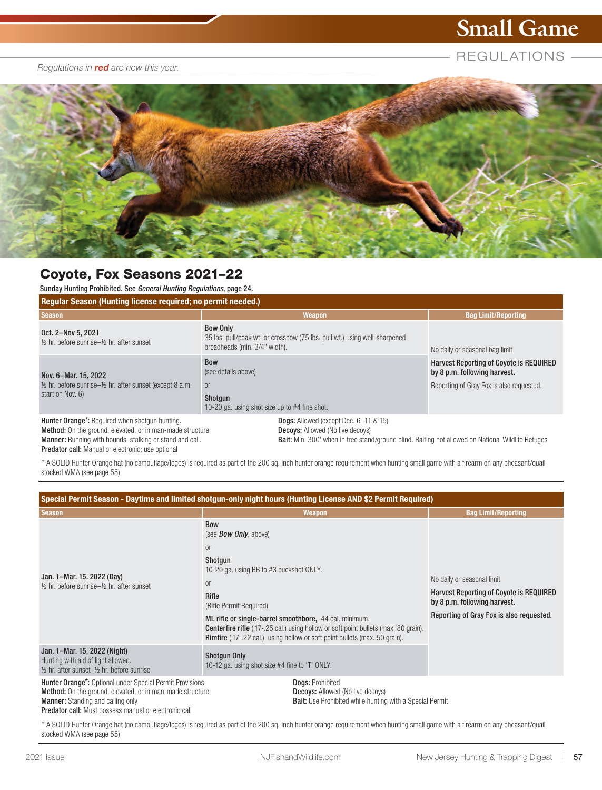# **Small Game**

#### *Regulations in red are new this year.*

REGULATIONS =



## Coyote, Fox Seasons 2021–22

Sunday Hunting Prohibited. See *General Hunting Regulations*, page 24.

| <b>Requiar Season (Hunting license required; no permit needed.)</b>                                                                                                                   |                                                                                                                                                                                                     |                                                                                                                            |  |
|---------------------------------------------------------------------------------------------------------------------------------------------------------------------------------------|-----------------------------------------------------------------------------------------------------------------------------------------------------------------------------------------------------|----------------------------------------------------------------------------------------------------------------------------|--|
| <b>Season</b>                                                                                                                                                                         | <b>Weapon</b>                                                                                                                                                                                       | <b>Bag Limit/Reporting</b>                                                                                                 |  |
| Oct. 2-Nov 5, 2021<br>1/ <sub>2</sub> hr. before sunrise-1/ <sub>2</sub> hr. after sunset                                                                                             | <b>Bow Only</b><br>35 lbs. pull/peak wt. or crossbow (75 lbs. pull wt.) using well-sharpened<br>broadheads (min. 3/4" width).                                                                       | No daily or seasonal bag limit                                                                                             |  |
| Nov. 6-Mar. 15, 2022<br>$\frac{1}{2}$ hr. before sunrise- $\frac{1}{2}$ hr. after sunset (except 8 a.m.<br>start on Nov. 6)                                                           | <b>Bow</b><br>(see details above)<br><sub>0r</sub><br>Shotgun<br>10-20 ga. using shot size up to #4 fine shot.                                                                                      | <b>Harvest Reporting of Coyote is REQUIRED</b><br>by 8 p.m. following harvest.<br>Reporting of Gray Fox is also requested. |  |
| Hunter Orange*: Required when shotgun hunting.<br><b>Method:</b> On the ground, elevated, or in man-made structure<br><b>Manner:</b> Running with hounds, stalking or stand and call. | <b>Dogs:</b> Allowed (except Dec. 6–11 & 15)<br><b>Decoys:</b> Allowed (No live decoys)<br><b>Bait:</b> Min. 300' when in tree stand/ground blind. Baiting not allowed on National Wildlife Refuges |                                                                                                                            |  |

Manner: Running with hounds, stalking or stand and call. Predator call: Manual or electronic; use optional

\* A SOLID Hunter Orange hat (no camouflage/logos) is required as part of the 200 sq. inch hunter orange requirement when hunting small game with a firearm on any pheasant/quail stocked WMA (see page 55).

| Special Permit Season - Daytime and limited shotgun-only night hours (Hunting License AND \$2 Permit Required)                                                                                                                           |                                                                                                                                                                                                                                                                                                                                                                                                                        |                                                                                                                                                   |  |  |
|------------------------------------------------------------------------------------------------------------------------------------------------------------------------------------------------------------------------------------------|------------------------------------------------------------------------------------------------------------------------------------------------------------------------------------------------------------------------------------------------------------------------------------------------------------------------------------------------------------------------------------------------------------------------|---------------------------------------------------------------------------------------------------------------------------------------------------|--|--|
| <b>Season</b>                                                                                                                                                                                                                            | Weapon                                                                                                                                                                                                                                                                                                                                                                                                                 | <b>Bag Limit/Reporting</b>                                                                                                                        |  |  |
| Jan. 1–Mar. 15, 2022 (Day)<br>1/ <sub>2</sub> hr. before sunrise-1/ <sub>2</sub> hr. after sunset                                                                                                                                        | <b>Bow</b><br>(see <b>Bow Only</b> , above)<br><sub>0r</sub><br>Shotgun<br>10-20 ga. using BB to #3 buckshot ONLY.<br><sub>0r</sub><br>Rifle<br>(Rifle Permit Required).<br>ML rifle or single-barrel smoothbore, .44 cal. minimum.<br><b>Centerfire rifle</b> (.17-.25 cal.) using hollow or soft point bullets (max. 80 grain).<br><b>Rimfire</b> (.17-.22 cal.) using hollow or soft point bullets (max. 50 grain). | No daily or seasonal limit<br>Harvest Reporting of Coyote is REQUIRED<br>by 8 p.m. following harvest.<br>Reporting of Gray Fox is also requested. |  |  |
| Jan. 1–Mar. 15, 2022 (Night)<br>Hunting with aid of light allowed.<br>$\frac{1}{2}$ hr. after sunset- $\frac{1}{2}$ hr. before sunrise                                                                                                   | <b>Shotgun Only</b><br>10-12 ga. using shot size #4 fine to 'T' ONLY.                                                                                                                                                                                                                                                                                                                                                  |                                                                                                                                                   |  |  |
| Hunter Orange*: Optional under Special Permit Provisions<br><b>Method:</b> On the ground, elevated, or in man-made structure<br><b>Manner:</b> Standing and calling only<br><b>Predator call:</b> Must possess manual or electronic call | Dogs: Prohibited<br><b>Decoys:</b> Allowed (No live decoys)<br><b>Bait:</b> Use Prohibited while hunting with a Special Permit.                                                                                                                                                                                                                                                                                        |                                                                                                                                                   |  |  |

\* A SOLID Hunter Orange hat (no camouflage/logos) is required as part of the 200 sq. inch hunter orange requirement when hunting small game with a firearm on any pheasant/quail stocked WMA (see page 55).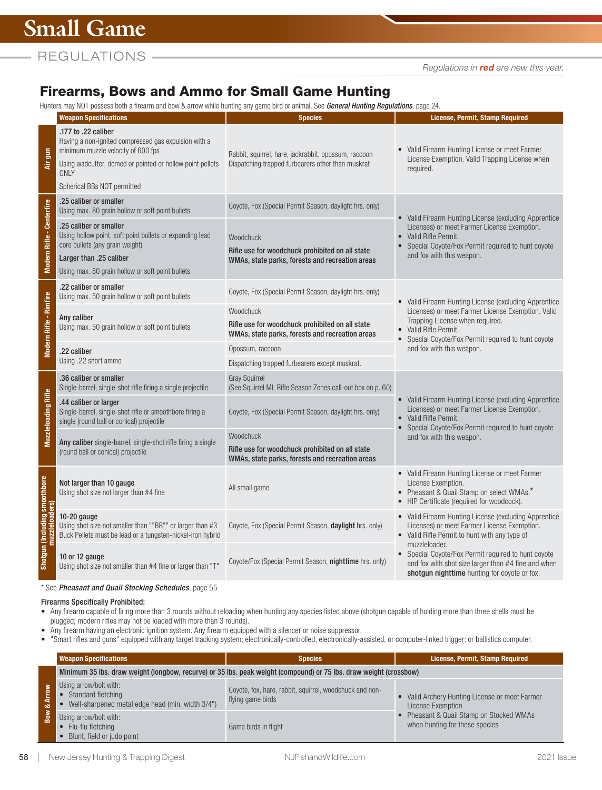*Regulations in red are new this year.*

# Firearms, Bows and Ammo for Small Game Hunting

Hunters may NOT possess both a firearm and bow & arrow while hunting any game bird or animal. See *General Hunting Regulations*, page 24.

|                                                     | nanoro may iver possoso bolira moann and bow ecariow while nanting any game bird or animal. Ooe <b>abhbrai manting nogalatibili</b> b, pag<br><b>Weapon Specifications</b>                                                   | <b>Species</b>                                                                                                  | <b>License, Permit, Stamp Required</b>                                                                                                                                                                                                                     |  |
|-----------------------------------------------------|------------------------------------------------------------------------------------------------------------------------------------------------------------------------------------------------------------------------------|-----------------------------------------------------------------------------------------------------------------|------------------------------------------------------------------------------------------------------------------------------------------------------------------------------------------------------------------------------------------------------------|--|
| Air gun                                             | .177 to .22 caliber<br>Having a non-ignited compressed gas expulsion with a<br>minimum muzzle velocity of 600 fps<br>Using wadcutter, domed or pointed or hollow point pellets<br><b>ONLY</b><br>Spherical BBs NOT permitted | Rabbit, squirrel, hare, jackrabbit, opossum, raccoon<br>Dispatching trapped furbearers other than muskrat       | • Valid Firearm Hunting License or meet Farmer<br>License Exemption. Valid Trapping License when<br>required.                                                                                                                                              |  |
| <b>Modern Rifle - Centerfire</b>                    | .25 caliber or smaller<br>Using max. 80 grain hollow or soft point bullets                                                                                                                                                   | Coyote, Fox (Special Permit Season, daylight hrs. only)                                                         |                                                                                                                                                                                                                                                            |  |
|                                                     | .25 caliber or smaller<br>Using hollow point, soft point bullets or expanding lead<br>core bullets (any grain weight)<br>Larger than .25 caliber<br>Using max. 80 grain hollow or soft point bullets                         | Woodchuck<br>Rifle use for woodchuck prohibited on all state<br>WMAs, state parks, forests and recreation areas | • Valid Firearm Hunting License (excluding Apprentice<br>Licenses) or meet Farmer License Exemption.<br>• Valid Rifle Permit.<br>Special Coyote/Fox Permit required to hunt coyote<br>and fox with this weapon.                                            |  |
| Modern Rifle - Rimfire                              | .22 caliber or smaller<br>Using max. 50 grain hollow or soft point bullets                                                                                                                                                   | Coyote, Fox (Special Permit Season, daylight hrs. only)                                                         | • Valid Firearm Hunting License (excluding Apprentice<br>Licenses) or meet Farmer License Exemption. Valid<br>Trapping License when required.<br>• Valid Rifle Permit.<br>• Special Coyote/Fox Permit required to hunt coyote<br>and fox with this weapon. |  |
|                                                     | Any caliber<br>Using max. 50 grain hollow or soft point bullets                                                                                                                                                              | Woodchuck<br>Rifle use for woodchuck prohibited on all state<br>WMAs, state parks, forests and recreation areas |                                                                                                                                                                                                                                                            |  |
|                                                     | .22 caliber<br>Using .22 short ammo                                                                                                                                                                                          | Opossum, raccoon                                                                                                |                                                                                                                                                                                                                                                            |  |
|                                                     | .36 caliber or smaller                                                                                                                                                                                                       | Dispatching trapped furbearers except muskrat.                                                                  |                                                                                                                                                                                                                                                            |  |
| <b>Muzzleloading Rifle</b>                          | Single-barrel, single-shot rifle firing a single projectile                                                                                                                                                                  | <b>Gray Squirrel</b><br>(See Squirrel ML Rifle Season Zones call-out box on p. 60)                              |                                                                                                                                                                                                                                                            |  |
|                                                     | .44 caliber or larger<br>Single-barrel, single-shot rifle or smoothbore firing a<br>single (round ball or conical) projectile                                                                                                | Coyote, Fox (Special Permit Season, daylight hrs. only)                                                         | • Valid Firearm Hunting License (excluding Apprentice<br>Licenses) or meet Farmer License Exemption.<br>• Valid Rifle Permit.<br>Special Coyote/Fox Permit required to hunt coyote                                                                         |  |
|                                                     | Any caliber single-barrel, single-shot rifle firing a single<br>(round ball or conical) projectile                                                                                                                           | Woodchuck<br>Rifle use for woodchuck prohibited on all state<br>WMAs, state parks, forests and recreation areas | and fox with this weapon.                                                                                                                                                                                                                                  |  |
| uding smoothbore<br>muzzleloaders)<br>Shotgun (Inci | Not larger than 10 gauge<br>Using shot size not larger than #4 fine                                                                                                                                                          | All small game                                                                                                  | • Valid Firearm Hunting License or meet Farmer<br>License Exemption.<br>• Pheasant & Quail Stamp on select WMAs.*<br>• HIP Certificate (required for woodcock).                                                                                            |  |
|                                                     | $10-20$ gauge<br>Using shot size not smaller than ""BB"" or larger than #3<br>Buck Pellets must be lead or a tungsten-nickel-iron hybrid                                                                                     | Coyote, Fox (Special Permit Season, daylight hrs. only)                                                         | • Valid Firearm Hunting License (excluding Apprentice<br>Licenses) or meet Farmer License Exemption.<br>• Valid Rifle Permit to hunt with any type of                                                                                                      |  |
|                                                     | 10 or 12 gauge<br>Using shot size not smaller than #4 fine or larger than "T"                                                                                                                                                | Coyote/Fox (Special Permit Season, nighttime hrs. only)                                                         | muzzleloader.<br>• Special Coyote/Fox Permit required to hunt coyote<br>and fox with shot size larger than #4 fine and when<br>shotgun nighttime hunting for coyote or fox.                                                                                |  |
|                                                     |                                                                                                                                                                                                                              |                                                                                                                 |                                                                                                                                                                                                                                                            |  |

\* See *Pheasant and Quail Stocking Schedules*, page 55

## Firearms Specifically Prohibited:

• Any firearm capable of firing more than 3 rounds without reloading when hunting any species listed above (shotgun capable of holding more than three shells must be plugged; modern rifles may not be loaded with more than 3 rounds).

• Any firearm having an electronic ignition system. Any firearm equipped with a silencer or noise suppressor.

• "Smart rifles and guns" equipped with any target tracking system; electronically-controlled, electronically-assisted, or computer-linked trigger; or ballistics computer.

|            | <b>Weapon Specifications</b>                                                                                       | <b>Species</b>                                                               | License, Permit, Stamp Required                                          |
|------------|--------------------------------------------------------------------------------------------------------------------|------------------------------------------------------------------------------|--------------------------------------------------------------------------|
|            | Minimum 35 lbs. draw weight (longbow, recurve) or 35 lbs. peak weight (compound) or 75 lbs. draw weight (crossbow) |                                                                              |                                                                          |
| š<br>È.    | Using arrow/bolt with:<br>Standard fletching<br>Well-sharpened metal edge head (min. width 3/4")                   | Coyote, fox, hare, rabbit, squirrel, woodchuck and non-<br>flying game birds | Valid Archery Hunting License or meet Farmer<br>License Exemption        |
| <b>Sow</b> | Using arrow/bolt with:<br>• Flu-flu fletching<br>Blunt, field or judo point                                        | Game birds in flight                                                         | Pheasant & Quail Stamp on Stocked WMAs<br>when hunting for these species |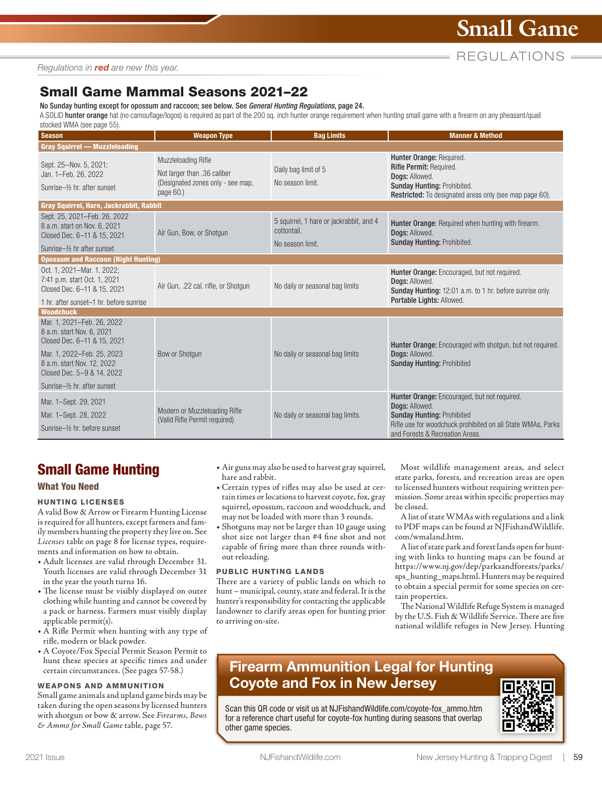REGULATIONS =

*Regulations in red are new this year.*

# Small Game Mammal Seasons 2021–22

No Sunday hunting except for opossum and raccoon; see below. See *General Hunting Regulations*, page 24.

A SOLID hunter orange hat (no camouflage/logos) is required as part of the 200 sq. inch hunter orange requirement when hunting small game with a firearm on any pheasant/quail stocked WMA (see page 55).

| $\frac{1}{2}$<br><b>Season</b>                                                              | <b>Weapon Type</b>                                                                                   | <b>Bag Limits</b>                                                          | <b>Manner &amp; Method</b>                                                                                                                                                                            |  |
|---------------------------------------------------------------------------------------------|------------------------------------------------------------------------------------------------------|----------------------------------------------------------------------------|-------------------------------------------------------------------------------------------------------------------------------------------------------------------------------------------------------|--|
| <b>Gray Squirrel - Muzzleloading</b>                                                        |                                                                                                      |                                                                            |                                                                                                                                                                                                       |  |
| Sept. 25-Nov. 5, 2021;<br>Jan. 1-Feb. 26, 2022<br>Sunrise-1/ <sub>2</sub> hr. after sunset  | Muzzleloading Rifle<br>Not larger than .36 caliber<br>(Designated zones only - see map,<br>page 60.) | Daily bag limit of 5<br>No season limit.                                   | Hunter Orange: Required.<br>Rifle Permit: Required.<br>Dogs: Allowed.<br>Sunday Hunting: Prohibited.<br>Restricted: To designated areas only (see map page 60).                                       |  |
| Gray Squirrel, Hare, Jackrabbit, Rabbit                                                     |                                                                                                      |                                                                            |                                                                                                                                                                                                       |  |
| Sept. 25, 2021-Feb. 26, 2022<br>8 a.m. start on Nov. 6, 2021<br>Closed Dec. 6-11 & 15, 2021 | Air Gun, Bow, or Shotgun                                                                             | 5 squirrel, 1 hare or jackrabbit, and 4<br>cottontail.<br>No season limit. | Hunter Orange: Required when hunting with firearm.<br>Doas: Allowed.<br><b>Sunday Hunting: Prohibited.</b>                                                                                            |  |
| Sunrise-1/ <sub>2</sub> hr after sunset                                                     |                                                                                                      |                                                                            |                                                                                                                                                                                                       |  |
| <b>Opossum and Raccoon (Night Hunting)</b>                                                  |                                                                                                      |                                                                            |                                                                                                                                                                                                       |  |
| Oct. 1, 2021-Mar. 1, 2022;<br>7:41 p.m. start Oct. 1, 2021<br>Closed Dec. 6-11 & 15, 2021   | Air Gun, .22 cal. rifle, or Shotgun                                                                  | No daily or seasonal bag limits                                            | Hunter Orange: Encouraged, but not required.<br>Dogs: Allowed.<br>Sunday Hunting: 12:01 a.m. to 1 hr. before sunrise only.                                                                            |  |
| 1 hr. after sunset-1 hr. before sunrise                                                     |                                                                                                      |                                                                            | Portable Lights: Allowed.                                                                                                                                                                             |  |
| <b>Woodchuck</b>                                                                            |                                                                                                      |                                                                            |                                                                                                                                                                                                       |  |
| Mar. 1, 2021-Feb. 26, 2022<br>8 a.m. start Nov. 6, 2021<br>Closed Dec. 6-11 & 15, 2021      |                                                                                                      |                                                                            | Hunter Orange: Encouraged with shotgun, but not required.                                                                                                                                             |  |
| Mar. 1, 2022-Feb. 25, 2023<br>8 a.m. start Nov. 12, 2022<br>Closed Dec. 5-9 & 14, 2022      | Bow or Shotgun                                                                                       | No daily or seasonal bag limits                                            | Dogs: Allowed.<br><b>Sunday Hunting: Prohibited</b>                                                                                                                                                   |  |
| Sunrise-16 hr. after sunset                                                                 |                                                                                                      |                                                                            |                                                                                                                                                                                                       |  |
| Mar. 1-Sept. 29, 2021<br>Mar. 1-Sept. 28, 2022<br>Sunrise-1/2 hr. before sunset             | Modern or Muzzleloading Rifle<br>(Valid Rifle Permit required)                                       | No daily or seasonal bag limits.                                           | Hunter Orange: Encouraged, but not required.<br>Dogs: Allowed.<br><b>Sunday Hunting: Prohibited</b><br>Rifle use for woodchuck prohibited on all State WMAs, Parks<br>and Forests & Recreation Areas. |  |

# Small Game Hunting

### What You Need

#### HUNTING LICENSES

A valid Bow & Arrow or Firearm Hunting License is required for all hunters, except farmers and family members hunting the property they live on. See *Licenses* table on page 8 for license types, requirements and information on how to obtain.

- **•** Adult licenses are valid through December 31. Youth licenses are valid through December 31 in the year the youth turns 16.
- **•** The license must be visibly displayed on outer clothing while hunting and cannot be covered by a pack or harness. Farmers must visibly display applicable permit(s).
- **•** A Rifle Permit when hunting with any type of rifle, modern or black powder.
- **•** A Coyote/Fox Special Permit Season Permit to hunt these species at specific times and under certain circumstances. (See pages 57-58.)

#### WEAPONS AND AMMUNITION

Small game animals and upland game birds may be taken during the open seasons by licensed hunters with shotgun or bow & arrow. See *Firearms, Bows & Ammo for Small Game* table, page 57.

- **•** Air guns may also be used to harvest gray squirrel, hare and rabbit.
- **•** Certain types of rifles may also be used at certain times or locations to harvest coyote, fox, gray squirrel, opossum, raccoon and woodchuck, and may not be loaded with more than 3 rounds.
- **•** Shotguns may not be larger than 10 gauge using shot size not larger than #4 fine shot and not capable of firing more than three rounds without reloading.

#### PUBLIC HUNTING LANDS

There are a variety of public lands on which to hunt – municipal, county, state and federal. It is the hunter's responsibility for contacting the applicable landowner to clarify areas open for hunting prior to arriving on-site.

Most wildlife management areas, and select state parks, forests, and recreation areas are open to licensed hunters without requiring written permission. Some areas within specific properties may be closed.

A list of state WMAs with regulations and a link to PDF maps can be found at NJ[FishandWildlife.](https://njfishandwildlife.com/wmaland.htm) [com/wmaland.htm.](https://njfishandwildlife.com/wmaland.htm)

A list of state park and forest lands open for hunting with links to hunting maps can be found at [https://www.nj.gov/dep/parksandforests/parks/](https://www.nj.gov/dep/parksandforests/parks/sps_hunting_maps.html) [sps\\_hunting\\_maps.html.](https://www.nj.gov/dep/parksandforests/parks/sps_hunting_maps.html) Hunters may be required to obtain a special permit for some species on certain properties.

The National Wildlife Refuge System is managed by the U.S. Fish & Wildlife Service. There are five national wildlife refuges in New Jersey. Hunting

# Firearm Ammunition Legal for Hunting Coyote and Fox in New Jersey

Scan this QR code or visit us at [NJFishandWildlife.com/coyote-fox\\_ammo.htm](http://NJFishandWildlife.com/coyote-fox_ammo.htm)  for a reference chart useful for coyote-fox hunting during seasons that overlap other game species.